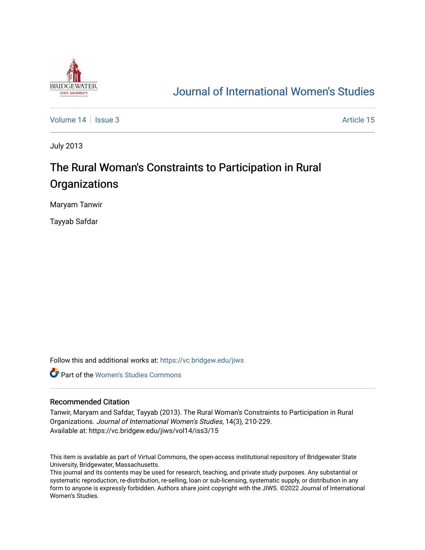

## [Journal of International Women's Studies](https://vc.bridgew.edu/jiws)

[Volume 14](https://vc.bridgew.edu/jiws/vol14) | [Issue 3](https://vc.bridgew.edu/jiws/vol14/iss3) Article 15

July 2013

# The Rural Woman's Constraints to Participation in Rural **Organizations**

Maryam Tanwir

Tayyab Safdar

Follow this and additional works at: [https://vc.bridgew.edu/jiws](https://vc.bridgew.edu/jiws?utm_source=vc.bridgew.edu%2Fjiws%2Fvol14%2Fiss3%2F15&utm_medium=PDF&utm_campaign=PDFCoverPages)

**C** Part of the Women's Studies Commons

#### Recommended Citation

Tanwir, Maryam and Safdar, Tayyab (2013). The Rural Woman's Constraints to Participation in Rural Organizations. Journal of International Women's Studies, 14(3), 210-229. Available at: https://vc.bridgew.edu/jiws/vol14/iss3/15

This item is available as part of Virtual Commons, the open-access institutional repository of Bridgewater State University, Bridgewater, Massachusetts.

This journal and its contents may be used for research, teaching, and private study purposes. Any substantial or systematic reproduction, re-distribution, re-selling, loan or sub-licensing, systematic supply, or distribution in any form to anyone is expressly forbidden. Authors share joint copyright with the JIWS. ©2022 Journal of International Women's Studies.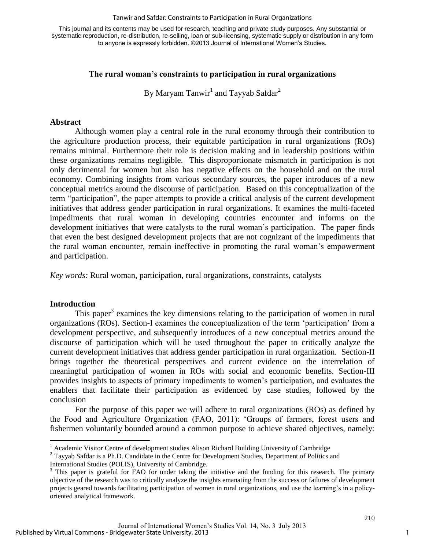#### Tanwir and Safdar: Constraints to Participation in Rural Organizations

This journal and its contents may be used for research, teaching and private study purposes. Any substantial or systematic reproduction, re-distribution, re-selling, loan or sub-licensing, systematic supply or distribution in any form to anyone is expressly forbidden. ©2013 Journal of International Women's Studies.

## **The rural woman's constraints to participation in rural organizations**

By Maryam Tanwir $^{\rm l}$  and Tayyab Safdar $^{\rm 2}$ 

#### **Abstract**

Although women play a central role in the rural economy through their contribution to the agriculture production process, their equitable participation in rural organizations (ROs) remains minimal. Furthermore their role is decision making and in leadership positions within these organizations remains negligible. This disproportionate mismatch in participation is not only detrimental for women but also has negative effects on the household and on the rural economy. Combining insights from various secondary sources, the paper introduces of a new conceptual metrics around the discourse of participation. Based on this conceptualization of the term "participation", the paper attempts to provide a critical analysis of the current development initiatives that address gender participation in rural organizations. It examines the multi-faceted impediments that rural woman in developing countries encounter and informs on the development initiatives that were catalysts to the rural woman's participation. The paper finds that even the best designed development projects that are not cognizant of the impediments that the rural woman encounter, remain ineffective in promoting the rural woman's empowerment and participation.

*Key words:* Rural woman, participation, rural organizations, constraints, catalysts

#### **Introduction**

 $\overline{\phantom{a}}$ 

This paper<sup>3</sup> examines the key dimensions relating to the participation of women in rural organizations (ROs). Section-I examines the conceptualization of the term 'participation' from a development perspective, and subsequently introduces of a new conceptual metrics around the discourse of participation which will be used throughout the paper to critically analyze the current development initiatives that address gender participation in rural organization. Section-II brings together the theoretical perspectives and current evidence on the interrelation of meaningful participation of women in ROs with social and economic benefits. Section-III provides insights to aspects of primary impediments to women's participation, and evaluates the enablers that facilitate their participation as evidenced by case studies, followed by the conclusion

For the purpose of this paper we will adhere to rural organizations (ROs) as defined by the Food and Agriculture Organization (FAO, 2011): 'Groups of farmers, forest users and fishermen voluntarily bounded around a common purpose to achieve shared objectives, namely:

 $2$  Tayyab Safdar is a Ph.D. Candidate in the Centre for Development Studies, Department of Politics and

<sup>&</sup>lt;sup>1</sup> Academic Visitor Centre of development studies Alison Richard Building University of Cambridge

International Studies (POLIS), University of Cambridge.

<sup>&</sup>lt;sup>3</sup> This paper is grateful for FAO for under taking the initiative and the funding for this research. The primary objective of the research was to critically analyze the insights emanating from the success or failures of development projects geared towards facilitating participation of women in rural organizations, and use the learning's in a policyoriented analytical framework.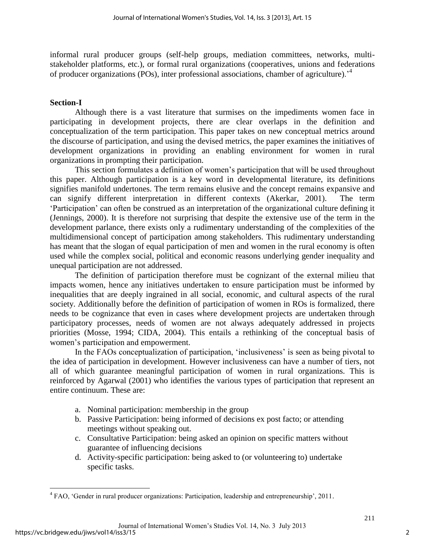informal rural producer groups (self-help groups, mediation committees, networks, multistakeholder platforms, etc.), or formal rural organizations (cooperatives, unions and federations of producer organizations (POs), inter professional associations, chamber of agriculture).'<sup>4</sup>

## **Section-I**

Although there is a vast literature that surmises on the impediments women face in participating in development projects, there are clear overlaps in the definition and conceptualization of the term participation. This paper takes on new conceptual metrics around the discourse of participation, and using the devised metrics, the paper examines the initiatives of development organizations in providing an enabling environment for women in rural organizations in prompting their participation.

This section formulates a definition of women's participation that will be used throughout this paper. Although participation is a key word in developmental literature, its definitions signifies manifold undertones. The term remains elusive and the concept remains expansive and can signify different interpretation in different contexts (Akerkar, 2001). The term 'Participation' can often be construed as an interpretation of the organizational culture defining it (Jennings, 2000). It is therefore not surprising that despite the extensive use of the term in the development parlance, there exists only a rudimentary understanding of the complexities of the multidimensional concept of participation among stakeholders. This rudimentary understanding has meant that the slogan of equal participation of men and women in the rural economy is often used while the complex social, political and economic reasons underlying gender inequality and unequal participation are not addressed.

The definition of participation therefore must be cognizant of the external milieu that impacts women, hence any initiatives undertaken to ensure participation must be informed by inequalities that are deeply ingrained in all social, economic, and cultural aspects of the rural society. Additionally before the definition of participation of women in ROs is formalized, there needs to be cognizance that even in cases where development projects are undertaken through participatory processes, needs of women are not always adequately addressed in projects priorities (Mosse, 1994; CIDA, 2004). This entails a rethinking of the conceptual basis of women's participation and empowerment.

In the FAOs conceptualization of participation, 'inclusiveness' is seen as being pivotal to the idea of participation in development. However inclusiveness can have a number of tiers, not all of which guarantee meaningful participation of women in rural organizations. This is reinforced by Agarwal (2001) who identifies the various types of participation that represent an entire continuum. These are:

- a. Nominal participation: membership in the group
- b. Passive Participation: being informed of decisions ex post facto; or attending meetings without speaking out.
- c. Consultative Participation: being asked an opinion on specific matters without guarantee of influencing decisions
- d. Activity-specific participation: being asked to (or volunteering to) undertake specific tasks.

 $\overline{\phantom{a}}$ <sup>4</sup> FAO, 'Gender in rural producer organizations: Participation, leadership and entrepreneurship', 2011.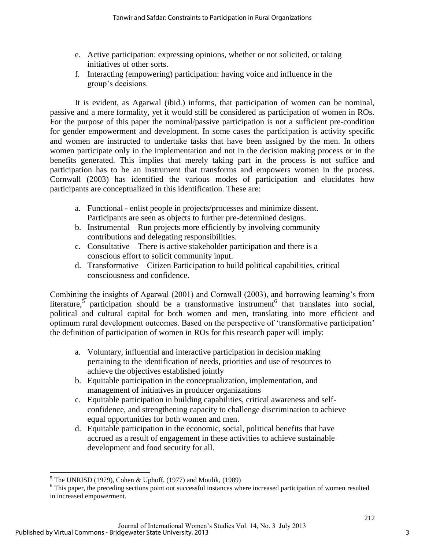- e. Active participation: expressing opinions, whether or not solicited, or taking initiatives of other sorts.
- f. Interacting (empowering) participation: having voice and influence in the group's decisions.

It is evident, as Agarwal (ibid.) informs, that participation of women can be nominal, passive and a mere formality, yet it would still be considered as participation of women in ROs. For the purpose of this paper the nominal/passive participation is not a sufficient pre-condition for gender empowerment and development. In some cases the participation is activity specific and women are instructed to undertake tasks that have been assigned by the men. In others women participate only in the implementation and not in the decision making process or in the benefits generated. This implies that merely taking part in the process is not suffice and participation has to be an instrument that transforms and empowers women in the process. Cornwall (2003) has identified the various modes of participation and elucidates how participants are conceptualized in this identification. These are:

- a. Functional enlist people in projects/processes and minimize dissent. Participants are seen as objects to further pre-determined designs.
- b. Instrumental Run projects more efficiently by involving community contributions and delegating responsibilities.
- c. Consultative There is active stakeholder participation and there is a conscious effort to solicit community input.
- d. Transformative Citizen Participation to build political capabilities, critical consciousness and confidence.

Combining the insights of Agarwal (2001) and Cornwall (2003), and borrowing learning's from literature, participation should be a transformative instrument that translates into social, political and cultural capital for both women and men, translating into more efficient and optimum rural development outcomes. Based on the perspective of 'transformative participation' the definition of participation of women in ROs for this research paper will imply:

- a. Voluntary, influential and interactive participation in decision making pertaining to the identification of needs, priorities and use of resources to achieve the objectives established jointly
- b. Equitable participation in the conceptualization, implementation, and management of initiatives in producer organizations
- c. Equitable participation in building capabilities, critical awareness and selfconfidence, and strengthening capacity to challenge discrimination to achieve equal opportunities for both women and men.
- d. Equitable participation in the economic, social, political benefits that have accrued as a result of engagement in these activities to achieve sustainable development and food security for all.

 5 The UNRISD (1979), Cohen & Uphoff, (1977) and Moulik, (1989)

<sup>&</sup>lt;sup>6</sup> This paper, the preceding sections point out successful instances where increased participation of women resulted in increased empowerment.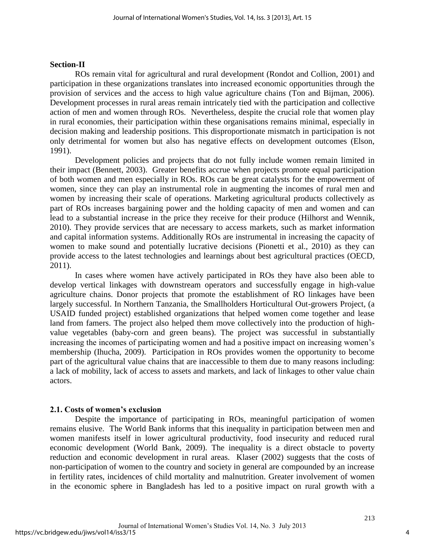### **Section-II**

ROs remain vital for agricultural and rural development (Rondot and Collion, 2001) and participation in these organizations translates into increased economic opportunities through the provision of services and the access to high value agriculture chains (Ton and Bijman, 2006). Development processes in rural areas remain intricately tied with the participation and collective action of men and women through ROs. Nevertheless, despite the crucial role that women play in rural economies, their participation within these organisations remains minimal, especially in decision making and leadership positions. This disproportionate mismatch in participation is not only detrimental for women but also has negative effects on development outcomes (Elson, 1991).

Development policies and projects that do not fully include women remain limited in their impact (Bennett, 2003). Greater benefits accrue when projects promote equal participation of both women and men especially in ROs. ROs can be great catalysts for the empowerment of women, since they can play an instrumental role in augmenting the incomes of rural men and women by increasing their scale of operations. Marketing agricultural products collectively as part of ROs increases bargaining power and the holding capacity of men and women and can lead to a substantial increase in the price they receive for their produce (Hilhorst and Wennik, 2010). They provide services that are necessary to access markets, such as market information and capital information systems. Additionally ROs are instrumental in increasing the capacity of women to make sound and potentially lucrative decisions (Pionetti et al., 2010) as they can provide access to the latest technologies and learnings about best agricultural practices (OECD, 2011).

In cases where women have actively participated in ROs they have also been able to develop vertical linkages with downstream operators and successfully engage in high-value agriculture chains. Donor projects that promote the establishment of RO linkages have been largely successful. In Northern Tanzania, the Smallholders Horticultural Out-growers Project, (a USAID funded project) established organizations that helped women come together and lease land from famers. The project also helped them move collectively into the production of highvalue vegetables (baby-corn and green beans). The project was successful in substantially increasing the incomes of participating women and had a positive impact on increasing women's membership (Ihucha, 2009). Participation in ROs provides women the opportunity to become part of the agricultural value chains that are inaccessible to them due to many reasons including: a lack of mobility, lack of access to assets and markets, and lack of linkages to other value chain actors.

## **2.1. Costs of women's exclusion**

Despite the importance of participating in ROs, meaningful participation of women remains elusive. The World Bank informs that this inequality in participation between men and women manifests itself in lower agricultural productivity, food insecurity and reduced rural economic development (World Bank, 2009). The inequality is a direct obstacle to poverty reduction and economic development in rural areas. Klaser (2002) suggests that the costs of non-participation of women to the country and society in general are compounded by an increase in fertility rates, incidences of child mortality and malnutrition. Greater involvement of women in the economic sphere in Bangladesh has led to a positive impact on rural growth with a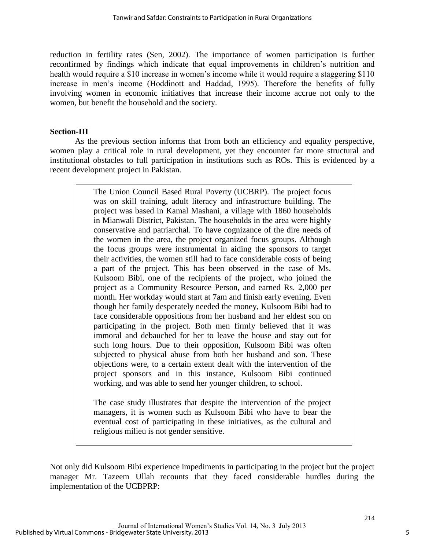reduction in fertility rates (Sen, 2002). The importance of women participation is further reconfirmed by findings which indicate that equal improvements in children's nutrition and health would require a \$10 increase in women's income while it would require a staggering \$110 increase in men's income (Hoddinott and Haddad, 1995). Therefore the benefits of fully involving women in economic initiatives that increase their income accrue not only to the women, but benefit the household and the society.

## **Section-III**

As the previous section informs that from both an efficiency and equality perspective, women play a critical role in rural development, yet they encounter far more structural and institutional obstacles to full participation in institutions such as ROs. This is evidenced by a recent development project in Pakistan.

> The Union Council Based Rural Poverty (UCBRP). The project focus was on skill training, adult literacy and infrastructure building. The project was based in Kamal Mashani, a village with 1860 households in Mianwali District, Pakistan. The households in the area were highly conservative and patriarchal. To have cognizance of the dire needs of the women in the area, the project organized focus groups. Although the focus groups were instrumental in aiding the sponsors to target their activities, the women still had to face considerable costs of being a part of the project. This has been observed in the case of Ms. Kulsoom Bibi, one of the recipients of the project, who joined the project as a Community Resource Person, and earned Rs. 2,000 per month. Her workday would start at 7am and finish early evening. Even though her family desperately needed the money, Kulsoom Bibi had to face considerable oppositions from her husband and her eldest son on participating in the project. Both men firmly believed that it was immoral and debauched for her to leave the house and stay out for such long hours. Due to their opposition, Kulsoom Bibi was often subjected to physical abuse from both her husband and son. These objections were, to a certain extent dealt with the intervention of the project sponsors and in this instance, Kulsoom Bibi continued working, and was able to send her younger children, to school.

> The case study illustrates that despite the intervention of the project managers, it is women such as Kulsoom Bibi who have to bear the eventual cost of participating in these initiatives, as the cultural and religious milieu is not gender sensitive.

Not only did Kulsoom Bibi experience impediments in participating in the project but the project manager Mr. Tazeem Ullah recounts that they faced considerable hurdles during the implementation of the UCBPRP: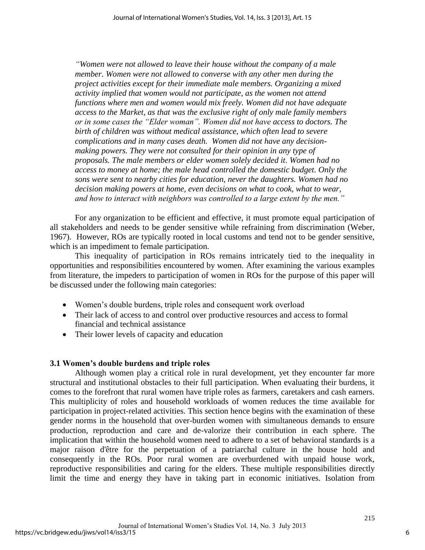*"Women were not allowed to leave their house without the company of a male member. Women were not allowed to converse with any other men during the project activities except for their immediate male members. Organizing a mixed activity implied that women would not participate, as the women not attend functions where men and women would mix freely. Women did not have adequate access to the Market, as that was the exclusive right of only male family members or in some cases the "Elder woman". Women did not have access to doctors. The birth of children was without medical assistance, which often lead to severe complications and in many cases death. Women did not have any decisionmaking powers. They were not consulted for their opinion in any type of proposals. The male members or elder women solely decided it. Women had no access to money at home; the male head controlled the domestic budget. Only the sons were sent to nearby cities for education, never the daughters. Women had no decision making powers at home, even decisions on what to cook, what to wear, and how to interact with neighbors was controlled to a large extent by the men."*

For any organization to be efficient and effective, it must promote equal participation of all stakeholders and needs to be gender sensitive while refraining from discrimination (Weber, 1967). However, ROs are typically rooted in local customs and tend not to be gender sensitive, which is an impediment to female participation.

This inequality of participation in ROs remains intricately tied to the inequality in opportunities and responsibilities encountered by women. After examining the various examples from literature, the impeders to participation of women in ROs for the purpose of this paper will be discussed under the following main categories:

- Women's double burdens, triple roles and consequent work overload
- Their lack of access to and control over productive resources and access to formal financial and technical assistance
- Their lower levels of capacity and education

#### **3.1 Women's double burdens and triple roles**

Although women play a critical role in rural development, yet they encounter far more structural and institutional obstacles to their full participation. When evaluating their burdens, it comes to the forefront that rural women have triple roles as farmers, caretakers and cash earners. This multiplicity of roles and household workloads of women reduces the time available for participation in project-related activities. This section hence begins with the examination of these gender norms in the household that over-burden women with simultaneous demands to ensure production, reproduction and care and de-valorize their contribution in each sphere. The implication that within the household women need to adhere to a set of behavioral standards is a major raison d'être for the perpetuation of a patriarchal culture in the house hold and consequently in the ROs. Poor rural women are overburdened with unpaid house work, reproductive responsibilities and caring for the elders. These multiple responsibilities directly limit the time and energy they have in taking part in economic initiatives. Isolation from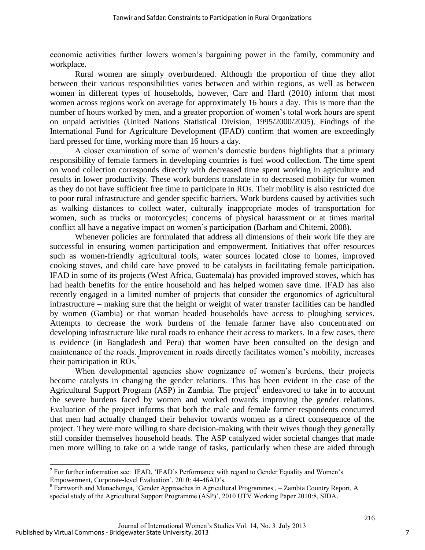economic activities further lowers women's bargaining power in the family, community and workplace.

Rural women are simply overburdened. Although the proportion of time they allot between their various responsibilities varies between and within regions, as well as between women in different types of households, however, Carr and Hartl (2010) inform that most women across regions work on average for approximately 16 hours a day. This is more than the number of hours worked by men, and a greater proportion of women's total work hours are spent on unpaid activities (United Nations Statistical Division, 1995/2000/2005). Findings of the International Fund for Agriculture Development (IFAD) confirm that women are exceedingly hard pressed for time, working more than 16 hours a day.

A closer examination of some of women's domestic burdens highlights that a primary responsibility of female farmers in developing countries is fuel wood collection. The time spent on wood collection corresponds directly with decreased time spent working in agriculture and results in lower productivity. These work burdens translate in to decreased mobility for women as they do not have sufficient free time to participate in ROs. Their mobility is also restricted due to poor rural infrastructure and gender specific barriers. Work burdens caused by activities such as walking distances to collect water, culturally inappropriate modes of transportation for women, such as trucks or motorcycles; concerns of physical harassment or at times marital conflict all have a negative impact on women's participation (Barham and Chitemi, 2008).

Whenever policies are formulated that address all dimensions of their work life they are successful in ensuring women participation and empowerment. Initiatives that offer resources such as women-friendly agricultural tools, water sources located close to homes, improved cooking stoves, and child care have proved to be catalysts in facilitating female participation. IFAD in some of its projects (West Africa, Guatemala) has provided improved stoves, which has had health benefits for the entire household and has helped women save time. IFAD has also recently engaged in a limited number of projects that consider the ergonomics of agricultural infrastructure – making sure that the height or weight of water transfer facilities can be handled by women (Gambia) or that woman headed households have access to ploughing services. Attempts to decrease the work burdens of the female farmer have also concentrated on developing infrastructure like rural roads to enhance their access to markets. In a few cases, there is evidence (in Bangladesh and Peru) that women have been consulted on the design and maintenance of the roads. Improvement in roads directly facilitates women's mobility, increases their participation in  $ROS<sup>7</sup>$ 

When developmental agencies show cognizance of women's burdens, their projects become catalysts in changing the gender relations. This has been evident in the case of the Agricultural Support Program  $(ASP)$  in Zambia. The project<sup>8</sup> endeavored to take in to account the severe burdens faced by women and worked towards improving the gender relations. Evaluation of the project informs that both the male and female farmer respondents concurred that men had actually changed their behavior towards women as a direct consequence of the project. They were more willing to share decision-making with their wives though they generally still consider themselves household heads. The ASP catalyzed wider societal changes that made men more willing to take on a wide range of tasks, particularly when these are aided through

 $\overline{\phantom{a}}$ 

<sup>&</sup>lt;sup>7</sup> For further information see: IFAD, 'IFAD's Performance with regard to Gender Equality and Women's Empowerment, Corporate-level Evaluation', 2010: 44-46AD's.

<sup>&</sup>lt;sup>8</sup> Farnworth and Munachonga, 'Gender Approaches in Agricultural Programmes , - Zambia Country Report, A special study of the Agricultural Support Programme (ASP)', 2010 UTV Working Paper 2010:8, SIDA.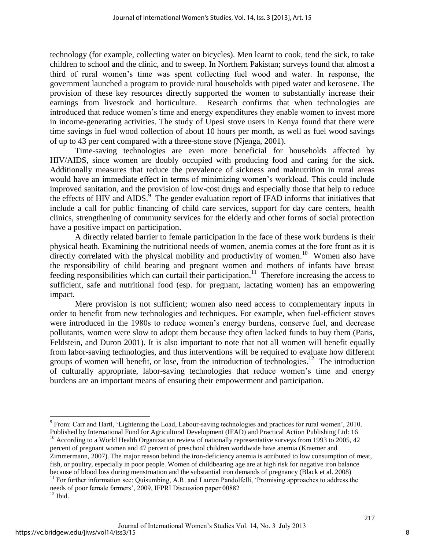technology (for example, collecting water on bicycles). Men learnt to cook, tend the sick, to take children to school and the clinic, and to sweep. In Northern Pakistan; surveys found that almost a third of rural women's time was spent collecting fuel wood and water. In response, the government launched a program to provide rural households with piped water and kerosene. The provision of these key resources directly supported the women to substantially increase their earnings from livestock and horticulture. Research confirms that when technologies are introduced that reduce women's time and energy expenditures they enable women to invest more in income-generating activities. The study of Upesi stove users in Kenya found that there were time savings in fuel wood collection of about 10 hours per month, as well as fuel wood savings of up to 43 per cent compared with a three-stone stove (Njenga, 2001).

Time-saving technologies are even more beneficial for households affected by HIV/AIDS, since women are doubly occupied with producing food and caring for the sick. Additionally measures that reduce the prevalence of sickness and malnutrition in rural areas would have an immediate effect in terms of minimizing women's workload. This could include improved sanitation, and the provision of low-cost drugs and especially those that help to reduce the effects of HIV and  $AIDS$ <sup>9</sup>. The gender evaluation report of IFAD informs that initiatives that include a call for public financing of child care services, support for day care centers, health clinics, strengthening of community services for the elderly and other forms of social protection have a positive impact on participation.

A directly related barrier to female participation in the face of these work burdens is their physical heath. Examining the nutritional needs of women, anemia comes at the fore front as it is directly correlated with the physical mobility and productivity of women.<sup>10</sup> Women also have the responsibility of child bearing and pregnant women and mothers of infants have breast feeding responsibilities which can curtail their participation.<sup>11</sup> Therefore increasing the access to sufficient, safe and nutritional food (esp. for pregnant, lactating women) has an empowering impact.

Mere provision is not sufficient; women also need access to complementary inputs in order to benefit from new technologies and techniques. For example, when fuel-efficient stoves were introduced in the 1980s to reduce women's energy burdens, conserve fuel, and decrease pollutants, women were slow to adopt them because they often lacked funds to buy them (Paris, Feldstein, and Duron 2001). It is also important to note that not all women will benefit equally from labor-saving technologies, and thus interventions will be required to evaluate how different groups of women will benefit, or lose, from the introduction of technologies.<sup>12</sup> The introduction of culturally appropriate, labor-saving technologies that reduce women's time and energy burdens are an important means of ensuring their empowerment and participation.

<sup>10</sup> According to a World Health Organization review of nationally representative surveys from 1993 to 2005, 42 percent of pregnant women and 47 percent of preschool children worldwide have anemia (Kraemer and Zimmermann, 2007). The major reason behind the iron-deficiency anemia is attributed to low consumption of meat, fish, or poultry, especially in poor people. Women of childbearing age are at high risk for negative iron balance because of blood loss during menstruation and the substantial iron demands of pregnancy (Black et al. 2008) <sup>11</sup> For further information see: Quisumbing, A.R. and Lauren Pandolfelli, 'Promising approaches to address the

needs of poor female farmers', 2009, IFPRI Discussion paper 00882  $12$  Ibid.

 $\overline{\phantom{a}}$ <sup>9</sup> From: Carr and Hartl, 'Lightening the Load, Labour-saving technologies and practices for rural women', 2010. Published by International Fund for Agricultural Development (IFAD) and Practical Action Publishing Ltd: 16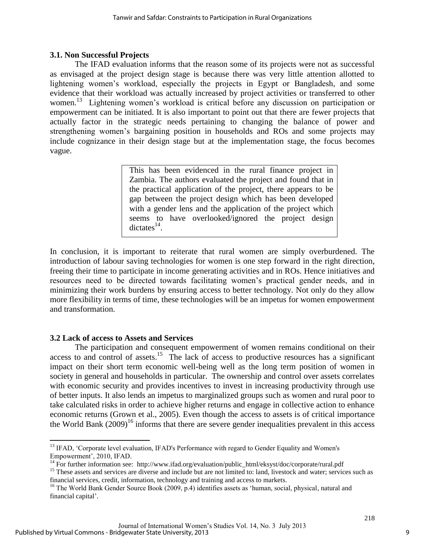## **3.1. Non Successful Projects**

The IFAD evaluation informs that the reason some of its projects were not as successful as envisaged at the project design stage is because there was very little attention allotted to lightening women's workload, especially the projects in Egypt or Bangladesh, and some evidence that their workload was actually increased by project activities or transferred to other women.<sup>13</sup> Lightening women's workload is critical before any discussion on participation or empowerment can be initiated. It is also important to point out that there are fewer projects that actually factor in the strategic needs pertaining to changing the balance of power and strengthening women's bargaining position in households and ROs and some projects may include cognizance in their design stage but at the implementation stage, the focus becomes vague.

> This has been evidenced in the rural finance project in Zambia. The authors evaluated the project and found that in the practical application of the project, there appears to be gap between the project design which has been developed with a gender lens and the application of the project which seems to have overlooked/ignored the project design dictates $^{14}$ .

In conclusion, it is important to reiterate that rural women are simply overburdened. The introduction of labour saving technologies for women is one step forward in the right direction, freeing their time to participate in income generating activities and in ROs. Hence initiatives and resources need to be directed towards facilitating women's practical gender needs, and in minimizing their work burdens by ensuring access to better technology. Not only do they allow more flexibility in terms of time, these technologies will be an impetus for women empowerment and transformation.

## **3.2 Lack of access to Assets and Services**

 $\overline{\phantom{a}}$ 

The participation and consequent empowerment of women remains conditional on their access to and control of assets.<sup>15</sup> The lack of access to productive resources has a significant impact on their short term economic well-being well as the long term position of women in society in general and households in particular. The ownership and control over assets correlates with economic security and provides incentives to invest in increasing productivity through use of better inputs. It also lends an impetus to marginalized groups such as women and rural poor to take calculated risks in order to achieve higher returns and engage in collective action to enhance economic returns (Grown et al., 2005). Even though the access to assets is of critical importance the World Bank  $(2009)^{16}$  informs that there are severe gender inequalities prevalent in this access

<sup>&</sup>lt;sup>13</sup> IFAD, 'Corporate level evaluation, IFAD's Performance with regard to Gender Equality and Women's Empowerment', 2010, IFAD.

<sup>&</sup>lt;sup>14</sup> For further information see: http://www.ifad.org/evaluation/public\_html/eksyst/doc/corporate/rural.pdf

<sup>&</sup>lt;sup>15</sup> These assets and services are diverse and include but are not limited to: land, livestock and water; services such as financial services, credit, information, technology and training and access to markets.

<sup>&</sup>lt;sup>16</sup> The World Bank Gender Source Book (2009, p.4) identifies assets as 'human, social, physical, natural and financial capital'.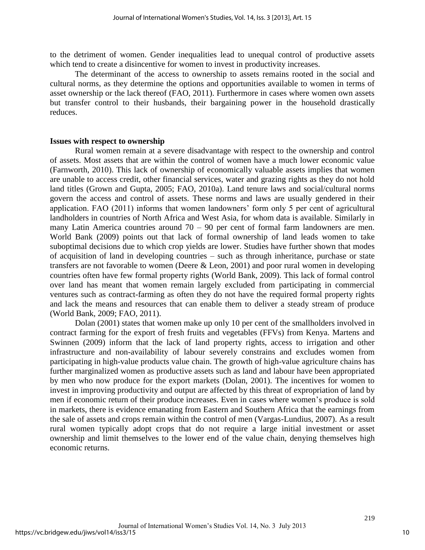to the detriment of women. Gender inequalities lead to unequal control of productive assets which tend to create a disincentive for women to invest in productivity increases.

The determinant of the access to ownership to assets remains rooted in the social and cultural norms, as they determine the options and opportunities available to women in terms of asset ownership or the lack thereof (FAO, 2011). Furthermore in cases where women own assets but transfer control to their husbands, their bargaining power in the household drastically reduces.

#### **Issues with respect to ownership**

Rural women remain at a severe disadvantage with respect to the ownership and control of assets. Most assets that are within the control of women have a much lower economic value (Farnworth, 2010). This lack of ownership of economically valuable assets implies that women are unable to access credit, other financial services, water and grazing rights as they do not hold land titles (Grown and Gupta, 2005; FAO, 2010a). Land tenure laws and social/cultural norms govern the access and control of assets. These norms and laws are usually gendered in their application. FAO (2011) informs that women landowners' form only 5 per cent of agricultural landholders in countries of North Africa and West Asia, for whom data is available. Similarly in many Latin America countries around  $70 - 90$  per cent of formal farm landowners are men. World Bank (2009) points out that lack of formal ownership of land leads women to take suboptimal decisions due to which crop yields are lower. Studies have further shown that modes of acquisition of land in developing countries – such as through inheritance, purchase or state transfers are not favorable to women (Deere & Leon, 2001) and poor rural women in developing countries often have few formal property rights (World Bank, 2009). This lack of formal control over land has meant that women remain largely excluded from participating in commercial ventures such as contract-farming as often they do not have the required formal property rights and lack the means and resources that can enable them to deliver a steady stream of produce (World Bank, 2009; FAO, 2011).

Dolan (2001) states that women make up only 10 per cent of the smallholders involved in contract farming for the export of fresh fruits and vegetables (FFVs) from Kenya. Martens and Swinnen (2009) inform that the lack of land property rights, access to irrigation and other infrastructure and non-availability of labour severely constrains and excludes women from participating in high-value products value chain. The growth of high-value agriculture chains has further marginalized women as productive assets such as land and labour have been appropriated by men who now produce for the export markets (Dolan, 2001). The incentives for women to invest in improving productivity and output are affected by this threat of expropriation of land by men if economic return of their produce increases. Even in cases where women's produce is sold in markets, there is evidence emanating from Eastern and Southern Africa that the earnings from the sale of assets and crops remain within the control of men (Vargas-Lundius, 2007). As a result rural women typically adopt crops that do not require a large initial investment or asset ownership and limit themselves to the lower end of the value chain, denying themselves high economic returns.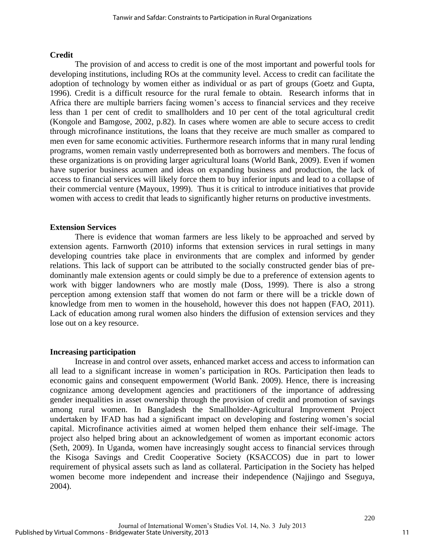## **Credit**

The provision of and access to credit is one of the most important and powerful tools for developing institutions, including ROs at the community level. Access to credit can facilitate the adoption of technology by women either as individual or as part of groups (Goetz and Gupta, 1996). Credit is a difficult resource for the rural female to obtain. Research informs that in Africa there are multiple barriers facing women's access to financial services and they receive less than 1 per cent of credit to smallholders and 10 per cent of the total agricultural credit (Kongole and Bamgose, 2002, p.82). In cases where women are able to secure access to credit through microfinance institutions, the loans that they receive are much smaller as compared to men even for same economic activities. Furthermore research informs that in many rural lending programs, women remain vastly underrepresented both as borrowers and members. The focus of these organizations is on providing larger agricultural loans (World Bank, 2009). Even if women have superior business acumen and ideas on expanding business and production, the lack of access to financial services will likely force them to buy inferior inputs and lead to a collapse of their commercial venture (Mayoux, 1999). Thus it is critical to introduce initiatives that provide women with access to credit that leads to significantly higher returns on productive investments.

#### **Extension Services**

There is evidence that woman farmers are less likely to be approached and served by extension agents. Farnworth (2010) informs that extension services in rural settings in many developing countries take place in environments that are complex and informed by gender relations. This lack of support can be attributed to the socially constructed gender bias of predominantly male extension agents or could simply be due to a preference of extension agents to work with bigger landowners who are mostly male (Doss, 1999). There is also a strong perception among extension staff that women do not farm or there will be a trickle down of knowledge from men to women in the household, however this does not happen (FAO, 2011). Lack of education among rural women also hinders the diffusion of extension services and they lose out on a key resource.

## **Increasing participation**

Increase in and control over assets, enhanced market access and access to information can all lead to a significant increase in women's participation in ROs. Participation then leads to economic gains and consequent empowerment (World Bank. 2009). Hence, there is increasing cognizance among development agencies and practitioners of the importance of addressing gender inequalities in asset ownership through the provision of credit and promotion of savings among rural women. In Bangladesh the Smallholder-Agricultural Improvement Project undertaken by IFAD has had a significant impact on developing and fostering women's social capital. Microfinance activities aimed at women helped them enhance their self-image. The project also helped bring about an acknowledgement of women as important economic actors (Seth, 2009). In Uganda, women have increasingly sought access to financial services through the Kisoga Savings and Credit Cooperative Society (KSACCOS) due in part to lower requirement of physical assets such as land as collateral. Participation in the Society has helped women become more independent and increase their independence (Najjingo and Sseguya, 2004).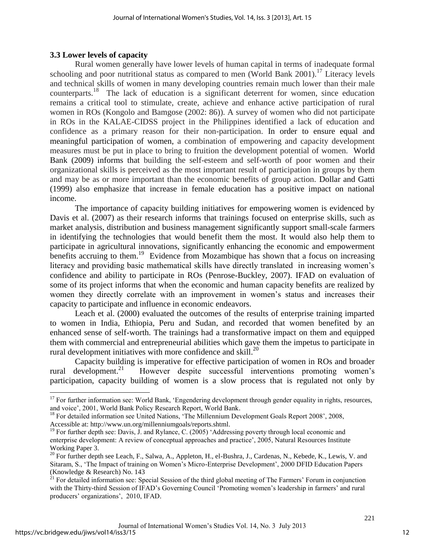## **3.3 Lower levels of capacity**

 $\overline{\phantom{a}}$ 

Rural women generally have lower levels of human capital in terms of inadequate formal schooling and poor nutritional status as compared to men (World Bank 2001).<sup>17</sup> Literacy levels and technical skills of women in many developing countries remain much lower than their male counterparts.<sup>18</sup> The lack of education is a significant deterrent for women, since education remains a critical tool to stimulate, create, achieve and enhance active participation of rural women in ROs (Kongolo and Bamgose (2002: 86)). A survey of women who did not participate in ROs in the KALAE-CIDSS project in the Philippines identified a lack of education and confidence as a primary reason for their non-participation. In order to ensure equal and meaningful participation of women, a combination of empowering and capacity development measures must be put in place to bring to fruition the development potential of women. World Bank (2009) informs that building the self-esteem and self-worth of poor women and their organizational skills is perceived as the most important result of participation in groups by them and may be as or more important than the economic benefits of group action. Dollar and Gatti (1999) also emphasize that increase in female education has a positive impact on national income.

The importance of capacity building initiatives for empowering women is evidenced by Davis et al. (2007) as their research informs that trainings focused on enterprise skills, such as market analysis, distribution and business management significantly support small-scale farmers in identifying the technologies that would benefit them the most. It would also help them to participate in agricultural innovations, significantly enhancing the economic and empowerment benefits accruing to them.<sup>19</sup> Evidence from Mozambique has shown that a focus on increasing literacy and providing basic mathematical skills have directly translated in increasing women's confidence and ability to participate in ROs (Penrose-Buckley, 2007). IFAD on evaluation of some of its project informs that when the economic and human capacity benefits are realized by women they directly correlate with an improvement in women's status and increases their capacity to participate and influence in economic endeavors.

Leach et al. (2000) evaluated the outcomes of the results of enterprise training imparted to women in India, Ethiopia, Peru and Sudan, and recorded that women benefited by an enhanced sense of self-worth. The trainings had a transformative impact on them and equipped them with commercial and entrepreneurial abilities which gave them the impetus to participate in rural development initiatives with more confidence and skill.<sup>20</sup>

Capacity building is imperative for effective participation of women in ROs and broader rural development. $21$  However despite successful interventions promoting women's participation, capacity building of women is a slow process that is regulated not only by

 $17$  For further information see: World Bank, 'Engendering development through gender equality in rights, resources, and voice', 2001, World Bank Policy Research Report, World Bank.

<sup>&</sup>lt;sup>18</sup> For detailed information see United Nations, 'The Millennium Development Goals Report 2008', 2008, Accessible at: [http://www.un.org/millenniumgoals/reports.shtml.](http://www.un.org/millenniumgoals/reports.shtml)

<sup>&</sup>lt;sup>19</sup> For further depth see: Davis, J. and Rylance, C. (2005) 'Addressing poverty through local economic and enterprise development: A review of conceptual approaches and practice', 2005, Natural Resources Institute Working Paper 3.

<sup>&</sup>lt;sup>20</sup> For further depth see Leach, F., Salwa, A., Appleton, H., el-Bushra, J., Cardenas, N., Kebede, K., Lewis, V. and Sitaram, S., 'The Impact of training on Women's Micro-Enterprise Development', 2000 DFID Education Papers (Knowledge & Research) No. 143

 $^{21}$  For detailed information see: Special Session of the third global meeting of The Farmers' Forum in conjunction with the Thirty-third Session of IFAD's Governing Council 'Promoting women's leadership in farmers' and rural producers' organizations', 2010, IFAD.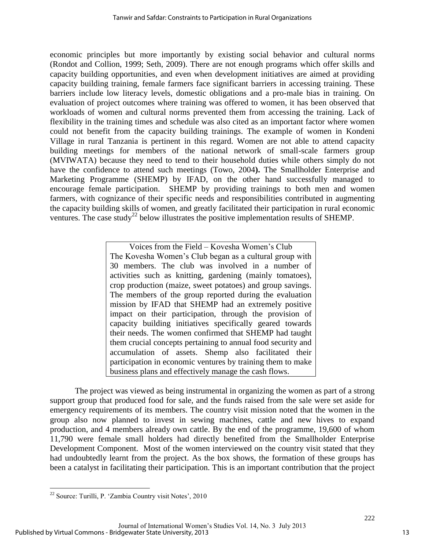economic principles but more importantly by existing social behavior and cultural norms (Rondot and Collion, 1999; Seth, 2009). There are not enough programs which offer skills and capacity building opportunities, and even when development initiatives are aimed at providing capacity building training, female farmers face significant barriers in accessing training. These barriers include low literacy levels, domestic obligations and a pro-male bias in training. On evaluation of project outcomes where training was offered to women, it has been observed that workloads of women and cultural norms prevented them from accessing the training. Lack of flexibility in the training times and schedule was also cited as an important factor where women could not benefit from the capacity building trainings. The example of women in Kondeni Village in rural Tanzania is pertinent in this regard. Women are not able to attend capacity building meetings for members of the national network of small-scale farmers group (MVIWATA) because they need to tend to their household duties while others simply do not have the confidence to attend such meetings (Towo, 2004**).** The Smallholder Enterprise and Marketing Programme (SHEMP) by IFAD, on the other hand successfully managed to encourage female participation. SHEMP by providing trainings to both men and women farmers, with cognizance of their specific needs and responsibilities contributed in augmenting the capacity building skills of women, and greatly facilitated their participation in rural economic ventures. The case study<sup>22</sup> below illustrates the positive implementation results of SHEMP.

> Voices from the Field – Kovesha Women's Club The Kovesha Women's Club began as a cultural group with 30 members. The club was involved in a number of activities such as knitting, gardening (mainly tomatoes), crop production (maize, sweet potatoes) and group savings. The members of the group reported during the evaluation mission by IFAD that SHEMP had an extremely positive impact on their participation, through the provision of capacity building initiatives specifically geared towards their needs. The women confirmed that SHEMP had taught them crucial concepts pertaining to annual food security and accumulation of assets. Shemp also facilitated their participation in economic ventures by training them to make business plans and effectively manage the cash flows.

The project was viewed as being instrumental in organizing the women as part of a strong support group that produced food for sale, and the funds raised from the sale were set aside for emergency requirements of its members. The country visit mission noted that the women in the group also now planned to invest in sewing machines, cattle and new hives to expand production, and 4 members already own cattle. By the end of the programme, 19,600 of whom 11,790 were female small holders had directly benefited from the Smallholder Enterprise Development Component. Most of the women interviewed on the country visit stated that they had undoubtedly learnt from the project. As the box shows, the formation of these groups has been a catalyst in facilitating their participation. This is an important contribution that the project

 $\overline{\phantom{a}}$ <sup>22</sup> Source: Turilli, P. 'Zambia Country visit Notes', 2010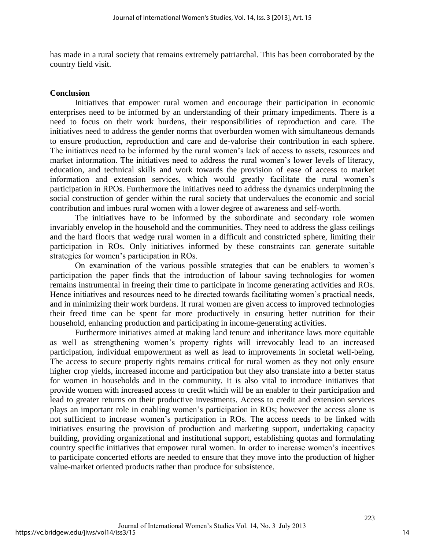has made in a rural society that remains extremely patriarchal. This has been corroborated by the country field visit.

#### **Conclusion**

Initiatives that empower rural women and encourage their participation in economic enterprises need to be informed by an understanding of their primary impediments. There is a need to focus on their work burdens, their responsibilities of reproduction and care. The initiatives need to address the gender norms that overburden women with simultaneous demands to ensure production, reproduction and care and de-valorise their contribution in each sphere. The initiatives need to be informed by the rural women's lack of access to assets, resources and market information. The initiatives need to address the rural women's lower levels of literacy, education, and technical skills and work towards the provision of ease of access to market information and extension services, which would greatly facilitate the rural women's participation in RPOs. Furthermore the initiatives need to address the dynamics underpinning the social construction of gender within the rural society that undervalues the economic and social contribution and imbues rural women with a lower degree of awareness and self-worth.

The initiatives have to be informed by the subordinate and secondary role women invariably envelop in the household and the communities. They need to address the glass ceilings and the hard floors that wedge rural women in a difficult and constricted sphere, limiting their participation in ROs. Only initiatives informed by these constraints can generate suitable strategies for women's participation in ROs.

On examination of the various possible strategies that can be enablers to women's participation the paper finds that the introduction of labour saving technologies for women remains instrumental in freeing their time to participate in income generating activities and ROs. Hence initiatives and resources need to be directed towards facilitating women's practical needs, and in minimizing their work burdens. If rural women are given access to improved technologies their freed time can be spent far more productively in ensuring better nutrition for their household, enhancing production and participating in income-generating activities.

Furthermore initiatives aimed at making land tenure and inheritance laws more equitable as well as strengthening women's property rights will irrevocably lead to an increased participation, individual empowerment as well as lead to improvements in societal well-being. The access to secure property rights remains critical for rural women as they not only ensure higher crop yields, increased income and participation but they also translate into a better status for women in households and in the community. It is also vital to introduce initiatives that provide women with increased access to credit which will be an enabler to their participation and lead to greater returns on their productive investments. Access to credit and extension services plays an important role in enabling women's participation in ROs; however the access alone is not sufficient to increase women's participation in ROs. The access needs to be linked with initiatives ensuring the provision of production and marketing support, undertaking capacity building, providing organizational and institutional support, establishing quotas and formulating country specific initiatives that empower rural women. In order to increase women's incentives to participate concerted efforts are needed to ensure that they move into the production of higher value-market oriented products rather than produce for subsistence.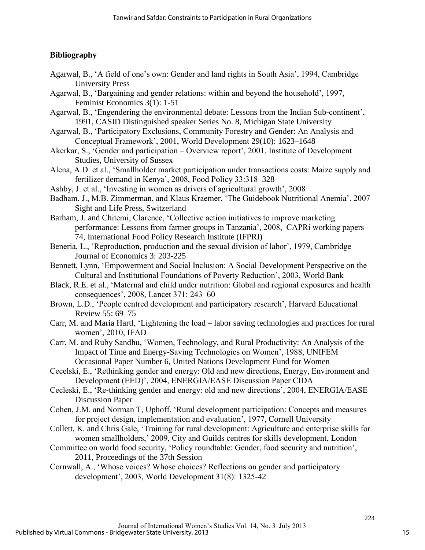## **Bibliography**

- Agarwal, B., 'A field of one's own: Gender and land rights in South Asia', 1994, Cambridge University Press
- Agarwal, B., 'Bargaining and gender relations: within and beyond the household', 1997, Feminist Economics 3(1): 1-51
- Agarwal, B., 'Engendering the environmental debate: Lessons from the Indian Sub-continent', 1991, CASID Distinguished speaker Series No. 8, Michigan State University
- Agarwal, B., 'Participatory Exclusions, Community Forestry and Gender: An Analysis and Conceptual Framework', 2001, World Development 29(10): 1623–1648
- Akerkar, S., 'Gender and participation Overview report', 2001, Institute of Development Studies, University of Sussex
- Alena, A.D. et al., 'Smallholder market participation under transactions costs: Maize supply and fertilizer demand in Kenya', 2008, Food Policy 33:318–328
- Ashby, J. et al., 'Investing in women as drivers of agricultural growth', 2008
- Badham, J., M.B. Zimmerman, and Klaus Kraemer, 'The Guidebook Nutritional Anemia'. 2007 Sight and Life Press, Switzerland
- Barham, J. and Chitemi, Clarence, 'Collective action initiatives to improve marketing performance: Lessons from farmer groups in Tanzania', 2008, CAPRi working papers 74, International Food Policy Research Institute (IFPRI)
- Beneria, L., 'Reproduction, production and the sexual division of labor', 1979, Cambridge Journal of Economics 3: 203-225
- Bennett, Lynn, 'Empowerment and Social Inclusion: A Social Development Perspective on the Cultural and Institutional Foundations of Poverty Reduction', 2003, World Bank
- Black, R.E. et al., 'Maternal and child under nutrition: Global and regional exposures and health consequences', 2008, Lancet 371: 243–60
- Brown, L.D., 'People centred development and participatory research', Harvard Educational Review 55: 69–75
- Carr, M. and Maria Hartl, 'Lightening the load labor saving technologies and practices for rural women', 2010, IFAD
- Carr, M. and Ruby Sandhu, 'Women, Technology, and Rural Productivity: An Analysis of the Impact of Time and Energy-Saving Technologies on Women', 1988, UNIFEM Occasional Paper Number 6, United Nations Development Fund for Women
- Cecelski, E., 'Rethinking gender and energy: Old and new directions, Energy, Environment and Development (EED)', 2004, ENERGIA/EASE Discussion Paper CIDA
- Cecleski, E., 'Re-thinking gender and energy: old and new directions', 2004, ENERGIA/EASE Discussion Paper
- Cohen, J.M. and Norman T, Uphoff, 'Rural development participation: Concepts and measures for project design, implementation and evaluation', 1977, Cornell University
- Collett, K. and Chris Gale, 'Training for rural development: Agriculture and enterprise skills for women smallholders,' 2009, City and Guilds centres for skills development, London
- Committee on world food security, 'Policy roundtable: Gender, food security and nutrition', 2011, Proceedings of the 37th Session
- Cornwall, A., 'Whose voices? Whose choices? Reflections on gender and participatory development', 2003, World Development 31(8): 1325-42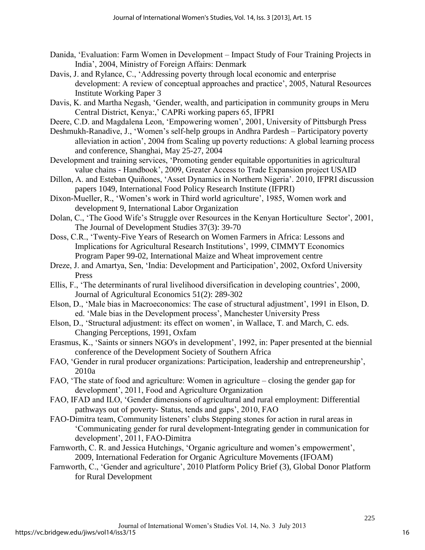- Danida, 'Evaluation: Farm Women in Development Impact Study of Four Training Projects in India', 2004, Ministry of Foreign Affairs: Denmark
- Davis, J. and Rylance, C., 'Addressing poverty through local economic and enterprise development: A review of conceptual approaches and practice', 2005, Natural Resources Institute Working Paper 3
- Davis, K. and Martha Negash, 'Gender, wealth, and participation in community groups in Meru Central District, Kenya:,' CAPRi working papers 65, IFPRI
- Deere, C.D. and Magdalena Leon, 'Empowering women', 2001, University of Pittsburgh Press
- Deshmukh-Ranadive, J., 'Women's self-help groups in Andhra Pardesh Participatory poverty alleviation in action', 2004 from Scaling up poverty reductions: A global learning process and conference, Shanghai, May 25-27, 2004
- Development and training services, 'Promoting gender equitable opportunities in agricultural value chains - Handbook', 2009, Greater Access to Trade Expansion project USAID
- Dillon, A. and Esteban Quiñones, 'Asset Dynamics in Northern Nigeria'. 2010, IFPRI discussion papers 1049, International Food Policy Research Institute (IFPRI)
- Dixon-Mueller, R., 'Women's work in Third world agriculture', 1985, Women work and development 9, International Labor Organization
- Dolan, C., 'The Good Wife's Struggle over Resources in the Kenyan Horticulture Sector', 2001, The Journal of Development Studies 37(3): 39-70
- Doss, C.R., 'Twenty-Five Years of Research on Women Farmers in Africa: Lessons and Implications for Agricultural Research Institutions', 1999, CIMMYT Economics Program Paper 99-02, International Maize and Wheat improvement centre
- Dreze, J. and Amartya, Sen, 'India: Development and Participation', 2002, Oxford University Press
- Ellis, F., 'The determinants of rural livelihood diversification in developing countries', 2000, Journal of Agricultural Economics 51(2): 289-302
- Elson, D., 'Male bias in Macroeconomics: The case of structural adjustment', 1991 in Elson, D. ed. 'Male bias in the Development process', Manchester University Press
- Elson, D., 'Structural adjustment: its effect on women', in Wallace, T. and March, C. eds. Changing Perceptions, 1991, Oxfam
- Erasmus, K., 'Saints or sinners NGO's in development', 1992, in: Paper presented at the biennial conference of the Development Society of Southern Africa
- FAO, 'Gender in rural producer organizations: Participation, leadership and entrepreneurship', 2010a
- FAO, 'The state of food and agriculture: Women in agriculture closing the gender gap for development', 2011, Food and Agriculture Organization
- FAO, IFAD and ILO, 'Gender dimensions of agricultural and rural employment: Differential pathways out of poverty- Status, tends and gaps', 2010, FAO
- FAO-Dimitra team, Community listeners' clubs Stepping stones for action in rural areas in 'Communicating gender for rural development-Integrating gender in communication for development', 2011, FAO-Dimitra
- Farnworth, C. R. and Jessica Hutchings, 'Organic agriculture and women's empowerment', 2009, International Federation for Organic Agriculture Movements (IFOAM)
- Farnworth, C., 'Gender and agriculture', 2010 Platform Policy Brief (3), Global Donor Platform for Rural Development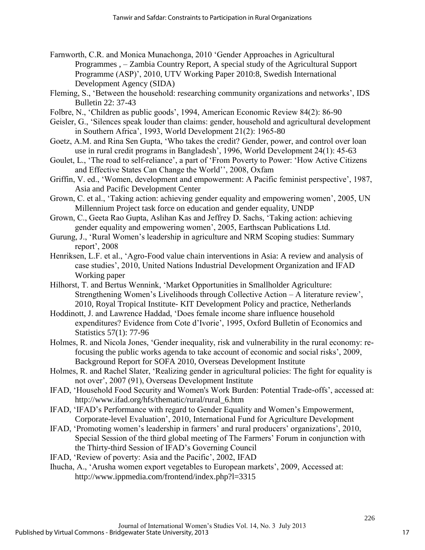- Farnworth, C.R. and Monica Munachonga, 2010 'Gender Approaches in Agricultural Programmes , – Zambia Country Report, A special study of the Agricultural Support Programme (ASP)', 2010, UTV Working Paper 2010:8, Swedish International Development Agency (SIDA)
- Fleming, S., 'Between the household: researching community organizations and networks', IDS Bulletin 22: 37-43
- Folbre, N., 'Children as public goods', 1994, American Economic Review 84(2): 86-90
- Geisler, G., 'Silences speak louder than claims: gender, household and agricultural development in Southern Africa', 1993, World Development 21(2): 1965-80
- Goetz, A.M. and Rina Sen Gupta, 'Who takes the credit? Gender, power, and control over loan use in rural credit programs in Bangladesh', 1996, World Development 24(1): 45-63
- Goulet, L., 'The road to self-reliance', a part of 'From Poverty to Power: 'How Active Citizens and Effective States Can Change the World'', 2008, Oxfam
- Griffin, V. ed., 'Women, development and empowerment: A Pacific feminist perspective', 1987, Asia and Pacific Development Center
- Grown, C. et al., 'Taking action: achieving gender equality and empowering women', 2005, UN Millennium Project task force on education and gender equality, UNDP
- Grown, C., Geeta Rao Gupta, Aslihan Kas and Jeffrey D. Sachs, 'Taking action: achieving gender equality and empowering women', 2005, Earthscan Publications Ltd.
- Gurung, J., 'Rural Women's leadership in agriculture and NRM Scoping studies: Summary report', 2008
- Henriksen, L.F. et al., 'Agro-Food value chain interventions in Asia: A review and analysis of case studies', 2010, United Nations Industrial Development Organization and IFAD Working paper
- Hilhorst, T. and Bertus Wennink, 'Market Opportunities in Smallholder Agriculture: Strengthening Women's Livelihoods through Collective Action – A literature review', 2010, Royal Tropical Institute- KIT Development Policy and practice, Netherlands
- Hoddinott, J. and Lawrence Haddad, 'Does female income share influence household expenditures? Evidence from Cote d'Ivorie', 1995, Oxford Bulletin of Economics and Statistics 57(1): 77-96
- Holmes, R. and Nicola Jones, 'Gender inequality, risk and vulnerability in the rural economy: refocusing the public works agenda to take account of economic and social risks', 2009, Background Report for SOFA 2010, Overseas Development Institute
- Holmes, R. and Rachel Slater, 'Realizing gender in agricultural policies: The fight for equality is not over', 2007 (91), Overseas Development Institute
- IFAD, 'Household Food Security and Women's Work Burden: Potential Trade-offs', accessed at: http://www.ifad.org/hfs/thematic/rural/rural\_6.htm
- IFAD, 'IFAD's Performance with regard to Gender Equality and Women's Empowerment, Corporate-level Evaluation', 2010, International Fund for Agriculture Development
- IFAD, 'Promoting women's leadership in farmers' and rural producers' organizations', 2010, Special Session of the third global meeting of The Farmers' Forum in conjunction with the Thirty-third Session of IFAD's Governing Council
- IFAD, 'Review of poverty: Asia and the Pacific', 2002, IFAD
- Ihucha, A., 'Arusha women export vegetables to European markets', 2009, Accessed at: http://www.ippmedia.com/frontend/index.php?l=3315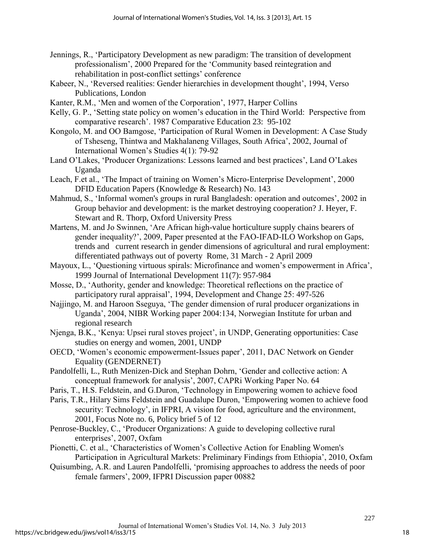- Jennings, R., 'Participatory Development as new paradigm: The transition of development professionalism', 2000 Prepared for the 'Community based reintegration and rehabilitation in post-conflict settings' conference
- Kabeer, N., 'Reversed realities: Gender hierarchies in development thought', 1994, Verso Publications, London
- Kanter, R.M., 'Men and women of the Corporation', 1977, Harper Collins
- Kelly, G. P., 'Setting state policy on women's education in the Third World: Perspective from comparative research'. 1987 Comparative Education 23: 95-102
- Kongolo, M. and OO Bamgose, 'Participation of Rural Women in Development: A Case Study of Tsheseng, Thintwa and Makhalaneng Villages, South Africa', 2002, Journal of International Women's Studies 4(1): 79-92
- Land O'Lakes, 'Producer Organizations: Lessons learned and best practices', Land O'Lakes Uganda
- Leach, F.et al., 'The Impact of training on Women's Micro-Enterprise Development', 2000 DFID Education Papers (Knowledge & Research) No. 143
- Mahmud, S., 'Informal women's groups in rural Bangladesh: operation and outcomes', 2002 in Group behavior and development: is the market destroying cooperation? J. Heyer, F. Stewart and R. Thorp, Oxford University Press
- Martens, M. and Jo Swinnen, 'Are African high-value horticulture supply chains bearers of gender inequality?', 2009, Paper presented at the FAO-IFAD-ILO Workshop on Gaps, trends and current research in gender dimensions of agricultural and rural employment: differentiated pathways out of poverty Rome, 31 March - 2 April 2009
- Mayoux, L., 'Questioning virtuous spirals: Microfinance and women's empowerment in Africa', 1999 Journal of International Development 11(7): 957-984
- Mosse, D., 'Authority, gender and knowledge: Theoretical reflections on the practice of participatory rural appraisal', 1994, Development and Change 25: 497-526
- Najjingo, M. and Haroon Sseguya, 'The gender dimension of rural producer organizations in Uganda', 2004, NIBR Working paper 2004:134, Norwegian Institute for urban and regional research
- Njenga, B.K., 'Kenya: Upsei rural stoves project', in UNDP, Generating opportunities: Case studies on energy and women, 2001, UNDP
- OECD, 'Women's economic empowerment-Issues paper', 2011, DAC Network on Gender Equality (GENDERNET)
- Pandolfelli, L., Ruth Menizen-Dick and Stephan Dohrn, 'Gender and collective action: A conceptual framework for analysis', 2007, CAPRi Working Paper No. 64
- Paris, T., H.S. Feldstein, and G.Duron, 'Technology in Empowering women to achieve food
- Paris, T.R., Hilary Sims Feldstein and Guadalupe Duron, 'Empowering women to achieve food security: Technology', in IFPRI, A vision for food, agriculture and the environment, 2001, Focus Note no. 6, Policy brief 5 of 12
- Penrose-Buckley, C., 'Producer Organizations: A guide to developing collective rural enterprises', 2007, Oxfam
- Pionetti, C. et al., 'Characteristics of Women's Collective Action for Enabling Women's Participation in Agricultural Markets: Preliminary Findings from Ethiopia', 2010, Oxfam
- Quisumbing, A.R. and Lauren Pandolfelli, 'promising approaches to address the needs of poor female farmers', 2009, IFPRI Discussion paper 00882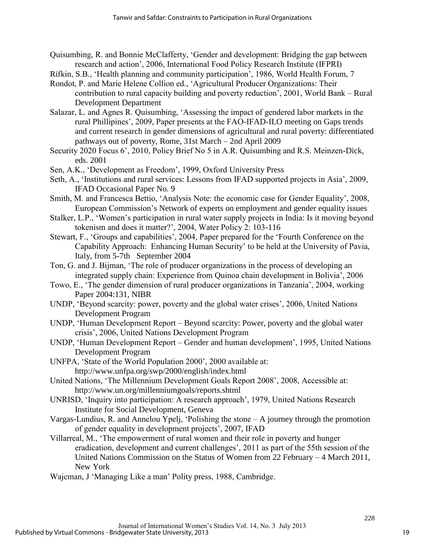- Quisumbing, R. and Bonnie McClafferty, 'Gender and development: Bridging the gap between research and action', 2006, International Food Policy Research Institute (IFPRI)
- Rifkin, S.B., 'Health planning and community participation', 1986, World Health Forum, 7
- Rondot, P. and Marie Helene Collion ed., 'Agricultural Producer Organizations: Their contribution to rural capacity building and poverty reduction', 2001, World Bank – Rural Development Department
- Salazar, L. and Agnes R. Quisumbing, 'Assessing the impact of gendered labor markets in the rural Phillipines', 2009, Paper presents at the FAO-IFAD-ILO meeting on Gaps trends and current research in gender dimensions of agricultural and rural poverty: differentiated pathways out of poverty, Rome, 31st March – 2nd April 2009
- Security 2020 Focus 6', 2010, Policy Brief No 5 in A.R. Quisumbing and R.S. Meinzen-Dick, eds. 2001
- Sen, A.K., 'Development as Freedom', 1999, Oxford University Press
- Seth, A., 'Institutions and rural services: Lessons from IFAD supported projects in Asia', 2009, IFAD Occasional Paper No. 9
- Smith, M. and Francesca Bettio, 'Analysis Note: the economic case for Gender Equality', 2008, European Commission's Network of experts on employment and gender equality issues
- Stalker, L.P., 'Women's participation in rural water supply projects in India: Is it moving beyond tokenism and does it matter?', 2004, Water Policy 2: 103-116
- Stewart, F., 'Groups and capabilities', 2004, Paper prepared for the 'Fourth Conference on the Capability Approach: Enhancing Human Security' to be held at the University of Pavia, Italy, from 5-7th September 2004
- Ton, G. and J. Bijman, 'The role of producer organizations in the process of developing an integrated supply chain: Experience from Quinoa chain development in Bolivia', 2006
- Towo, E., 'The gender dimension of rural producer organizations in Tanzania', 2004, working Paper 2004:131, NIBR
- UNDP, 'Beyond scarcity: power, poverty and the global water crises', 2006, United Nations Development Program
- UNDP, 'Human Development Report Beyond scarcity: Power, poverty and the global water crisis', 2006, United Nations Development Program
- UNDP, 'Human Development Report Gender and human development', 1995, United Nations Development Program
- UNFPA, 'State of the World Population 2000', 2000 available at: http://www.unfpa.org/swp/2000/english/index.html
- United Nations, 'The Millennium Development Goals Report 2008', 2008, Accessible at: http://www.un.org/millenniumgoals/reports.shtml
- UNRISD, 'Inquiry into participation: A research approach', 1979, United Nations Research Institute for Social Development, Geneva
- Vargas-Lundius, R. and Annelou Ypelj, 'Polishing the stone A journey through the promotion of gender equality in development projects', 2007, IFAD
- Villarreal, M., 'The empowerment of rural women and their role in poverty and hunger eradication, development and current challenges', 2011 as part of the 55th session of the United Nations Commission on the Status of Women from 22 February – 4 March 2011, New York
- Wajcman, J 'Managing Like a man' Polity press, 1988, Cambridge.